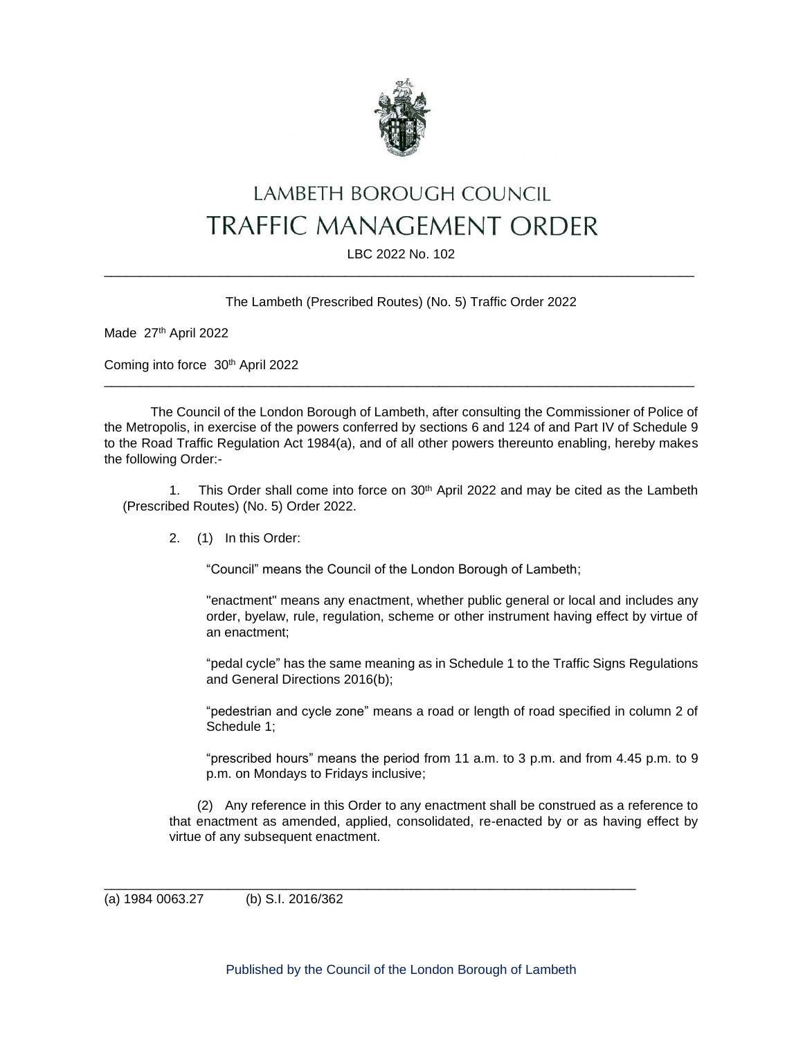

# LAMBETH BOROUGH COUNCIL **TRAFFIC MANAGEMENT ORDER**

## LBC 2022 No. 102 \_\_\_\_\_\_\_\_\_\_\_\_\_\_\_\_\_\_\_\_\_\_\_\_\_\_\_\_\_\_\_\_\_\_\_\_\_\_\_\_\_\_\_\_\_\_\_\_\_\_\_\_\_\_\_\_\_\_\_\_\_\_\_\_\_\_\_\_\_\_\_\_\_\_\_\_\_\_\_\_\_

## The Lambeth (Prescribed Routes) (No. 5) Traffic Order 2022

Made 27th April 2022

Coming into force 30th April 2022

The Council of the London Borough of Lambeth, after consulting the Commissioner of Police of the Metropolis, in exercise of the powers conferred by sections 6 and 124 of and Part IV of Schedule 9 to the Road Traffic Regulation Act 1984(a), and of all other powers thereunto enabling, hereby makes the following Order:-

\_\_\_\_\_\_\_\_\_\_\_\_\_\_\_\_\_\_\_\_\_\_\_\_\_\_\_\_\_\_\_\_\_\_\_\_\_\_\_\_\_\_\_\_\_\_\_\_\_\_\_\_\_\_\_\_\_\_\_\_\_\_\_\_\_\_\_\_\_\_\_\_\_\_\_\_\_\_\_\_\_

1. This Order shall come into force on 30<sup>th</sup> April 2022 and may be cited as the Lambeth (Prescribed Routes) (No. 5) Order 2022.

2. (1) In this Order:

"Council" means the Council of the London Borough of Lambeth;

"enactment" means any enactment, whether public general or local and includes any order, byelaw, rule, regulation, scheme or other instrument having effect by virtue of an enactment;

"pedal cycle" has the same meaning as in Schedule 1 to the Traffic Signs Regulations and General Directions 2016(b);

"pedestrian and cycle zone" means a road or length of road specified in column 2 of Schedule 1;

"prescribed hours" means the period from 11 a.m. to 3 p.m. and from 4.45 p.m. to 9 p.m. on Mondays to Fridays inclusive;

(2) Any reference in this Order to any enactment shall be construed as a reference to that enactment as amended, applied, consolidated, re-enacted by or as having effect by virtue of any subsequent enactment.

(a) 1984 0063.27 (b) S.I. 2016/362

\_\_\_\_\_\_\_\_\_\_\_\_\_\_\_\_\_\_\_\_\_\_\_\_\_\_\_\_\_\_\_\_\_\_\_\_\_\_\_\_\_\_\_\_\_\_\_\_\_\_\_\_\_\_\_\_\_\_\_\_\_\_\_\_\_\_\_\_\_\_\_\_\_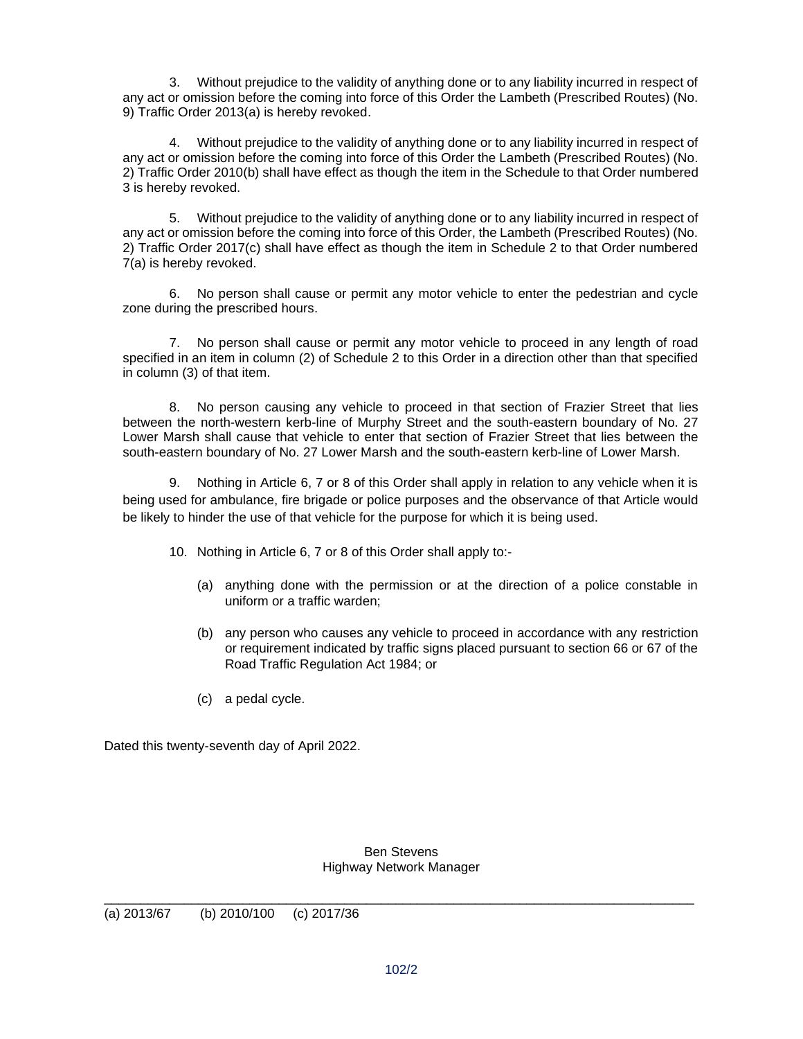3. Without prejudice to the validity of anything done or to any liability incurred in respect of any act or omission before the coming into force of this Order the Lambeth (Prescribed Routes) (No. 9) Traffic Order 2013(a) is hereby revoked.

4. Without prejudice to the validity of anything done or to any liability incurred in respect of any act or omission before the coming into force of this Order the Lambeth (Prescribed Routes) (No. 2) Traffic Order 2010(b) shall have effect as though the item in the Schedule to that Order numbered 3 is hereby revoked.

5. Without prejudice to the validity of anything done or to any liability incurred in respect of any act or omission before the coming into force of this Order, the Lambeth (Prescribed Routes) (No. 2) Traffic Order 2017(c) shall have effect as though the item in Schedule 2 to that Order numbered 7(a) is hereby revoked.

6. No person shall cause or permit any motor vehicle to enter the pedestrian and cycle zone during the prescribed hours.

7. No person shall cause or permit any motor vehicle to proceed in any length of road specified in an item in column (2) of Schedule 2 to this Order in a direction other than that specified in column (3) of that item.

8. No person causing any vehicle to proceed in that section of Frazier Street that lies between the north-western kerb-line of Murphy Street and the south-eastern boundary of No. 27 Lower Marsh shall cause that vehicle to enter that section of Frazier Street that lies between the south-eastern boundary of No. 27 Lower Marsh and the south-eastern kerb-line of Lower Marsh.

9. Nothing in Article 6, 7 or 8 of this Order shall apply in relation to any vehicle when it is being used for ambulance, fire brigade or police purposes and the observance of that Article would be likely to hinder the use of that vehicle for the purpose for which it is being used.

10. Nothing in Article 6, 7 or 8 of this Order shall apply to:-

- (a) anything done with the permission or at the direction of a police constable in uniform or a traffic warden;
- (b) any person who causes any vehicle to proceed in accordance with any restriction or requirement indicated by traffic signs placed pursuant to section 66 or 67 of the Road Traffic Regulation Act 1984; or
- (c) a pedal cycle.

Dated this twenty-seventh day of April 2022.

#### Ben Stevens Highway Network Manager

\_\_\_\_\_\_\_\_\_\_\_\_\_\_\_\_\_\_\_\_\_\_\_\_\_\_\_\_\_\_\_\_\_\_\_\_\_\_\_\_\_\_\_\_\_\_\_\_\_\_\_\_\_\_\_\_\_\_\_\_\_\_\_\_\_\_\_\_\_\_\_\_\_\_\_\_\_\_\_\_\_

(a) 2013/67 (b) 2010/100 (c) 2017/36